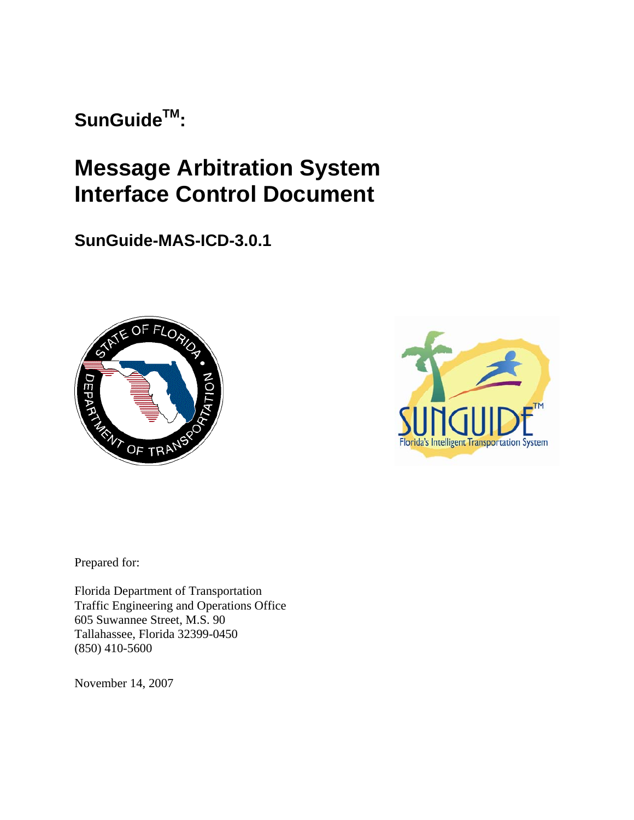SunGuide<sup>™</sup>:

# **Message Arbitration System Interface Control Document**

**SunGuide-MAS-ICD-3.0.1**





Prepared for:

Florida Department of Transportation Traffic Engineering and Operations Office 605 Suwannee Street, M.S. 90 Tallahassee, Florida 32399-0450 (850) 410-5600

November 14, 2007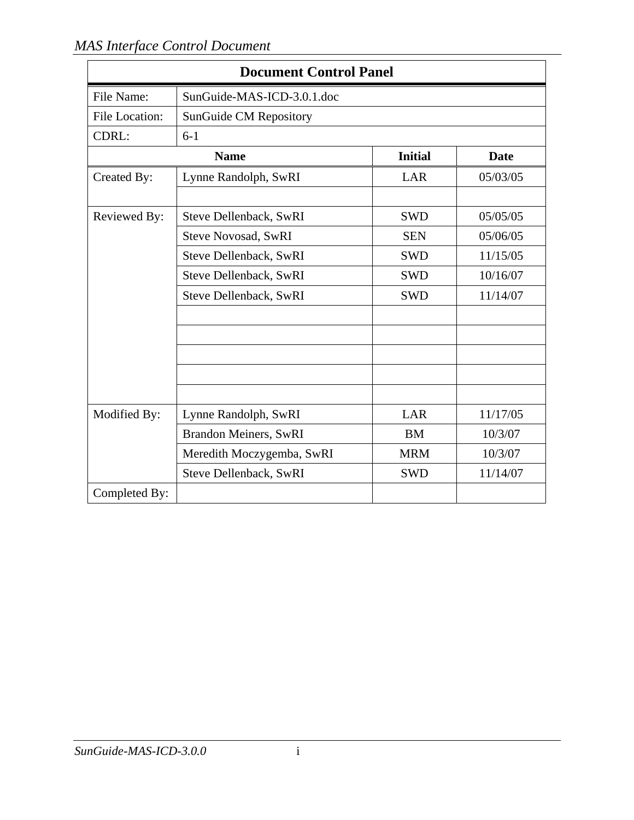| <b>Document Control Panel</b> |                               |                |          |  |  |  |  |  |  |  |
|-------------------------------|-------------------------------|----------------|----------|--|--|--|--|--|--|--|
| File Name:                    | SunGuide-MAS-ICD-3.0.1.doc    |                |          |  |  |  |  |  |  |  |
| <b>File Location:</b>         | <b>SunGuide CM Repository</b> |                |          |  |  |  |  |  |  |  |
| CDRL:                         | $6 - 1$                       |                |          |  |  |  |  |  |  |  |
|                               | <b>Name</b>                   | <b>Initial</b> | Date     |  |  |  |  |  |  |  |
| Created By:                   | Lynne Randolph, SwRI          | LAR            | 05/03/05 |  |  |  |  |  |  |  |
| Reviewed By:                  | Steve Dellenback, SwRI        | <b>SWD</b>     | 05/05/05 |  |  |  |  |  |  |  |
|                               | <b>Steve Novosad, SwRI</b>    | <b>SEN</b>     | 05/06/05 |  |  |  |  |  |  |  |
|                               | Steve Dellenback, SwRI        | <b>SWD</b>     | 11/15/05 |  |  |  |  |  |  |  |
|                               | Steve Dellenback, SwRI        | <b>SWD</b>     | 10/16/07 |  |  |  |  |  |  |  |
|                               | Steve Dellenback, SwRI        | <b>SWD</b>     | 11/14/07 |  |  |  |  |  |  |  |
|                               |                               |                |          |  |  |  |  |  |  |  |
|                               |                               |                |          |  |  |  |  |  |  |  |
| Modified By:                  | Lynne Randolph, SwRI          | LAR            | 11/17/05 |  |  |  |  |  |  |  |
|                               | <b>Brandon Meiners, SwRI</b>  | <b>BM</b>      | 10/3/07  |  |  |  |  |  |  |  |
|                               | Meredith Moczygemba, SwRI     | <b>MRM</b>     | 10/3/07  |  |  |  |  |  |  |  |
|                               | Steve Dellenback, SwRI        | <b>SWD</b>     | 11/14/07 |  |  |  |  |  |  |  |
| Completed By:                 |                               |                |          |  |  |  |  |  |  |  |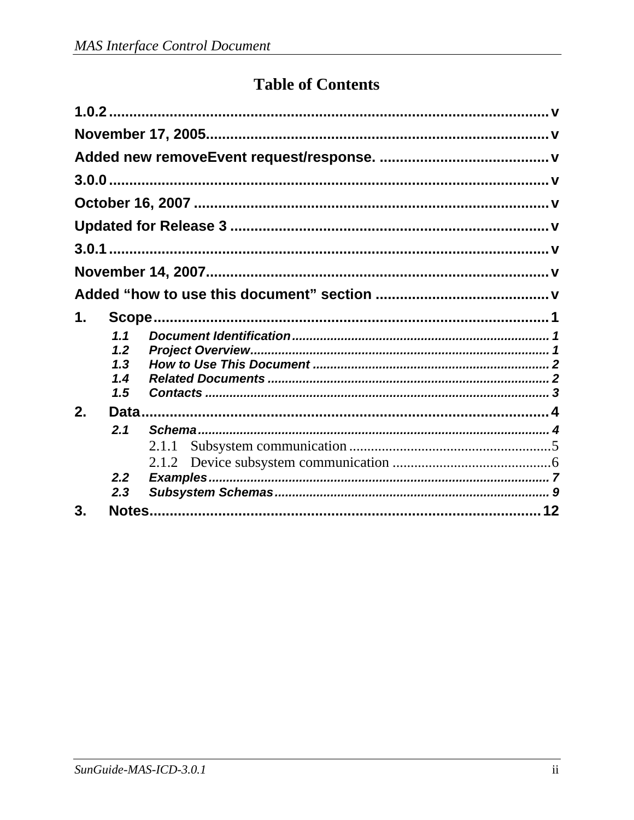## **Table of Contents**

| 1. |     |  |
|----|-----|--|
|    | 1.1 |  |
|    | 1.2 |  |
|    | 1.3 |  |
|    | 1.4 |  |
| 2. | 1.5 |  |
|    | 2.1 |  |
|    |     |  |
|    |     |  |
|    | 2.2 |  |
|    | 2.3 |  |
| 3. |     |  |
|    |     |  |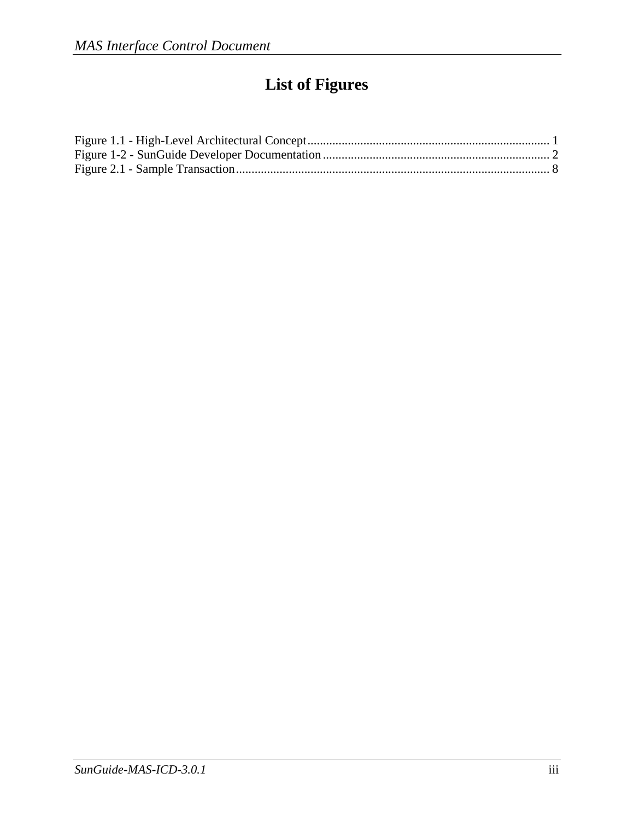## **List of Figures**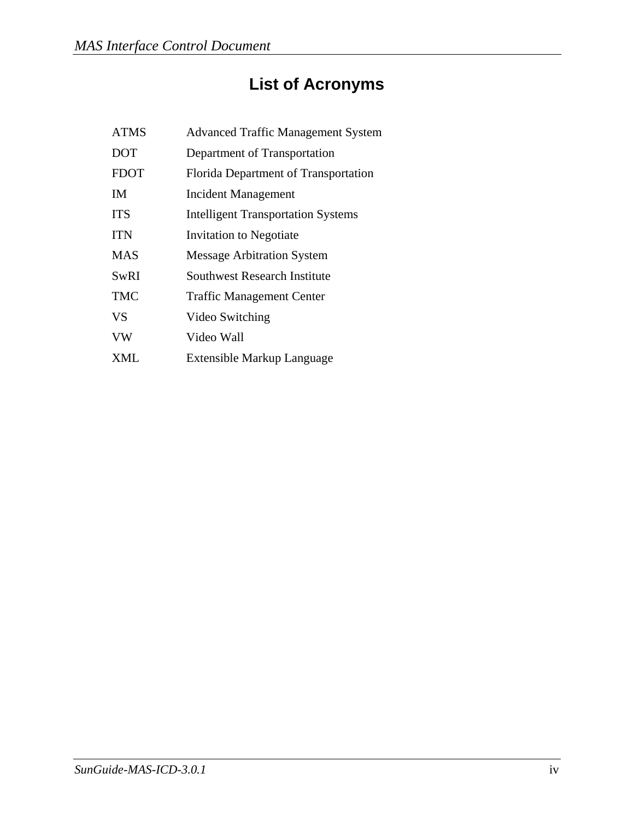# **List of Acronyms**

| <b>ATMS</b> | <b>Advanced Traffic Management System</b> |
|-------------|-------------------------------------------|
| <b>DOT</b>  | Department of Transportation              |
| <b>FDOT</b> | Florida Department of Transportation      |
| <b>IM</b>   | <b>Incident Management</b>                |
| <b>ITS</b>  | <b>Intelligent Transportation Systems</b> |
| <b>ITN</b>  | <b>Invitation to Negotiate</b>            |
| <b>MAS</b>  | <b>Message Arbitration System</b>         |
| SwRI        | Southwest Research Institute              |
| <b>TMC</b>  | <b>Traffic Management Center</b>          |
| <b>VS</b>   | Video Switching                           |
| <b>VW</b>   | Video Wall                                |
| XML         | Extensible Markup Language                |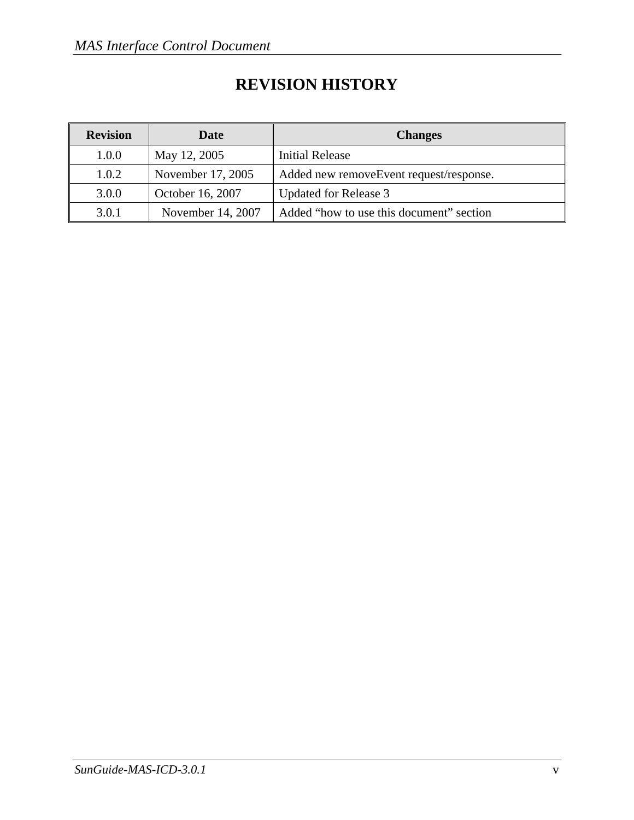## **REVISION HISTORY**

| <b>Revision</b> | Date              | <b>Changes</b>                           |
|-----------------|-------------------|------------------------------------------|
| 1.0.0           | May 12, 2005      | Initial Release                          |
| 1.0.2           | November 17, 2005 | Added new removeEvent request/response.  |
| 3.0.0           | October 16, 2007  | Updated for Release 3                    |
| 3.0.1           | November 14, 2007 | Added "how to use this document" section |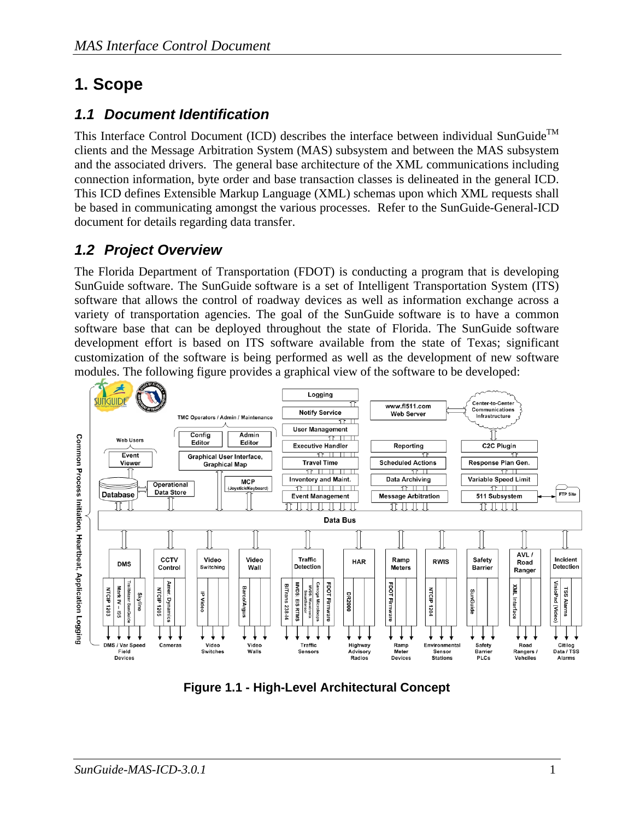## **1. Scope**

### *1.1 Document Identification*

This Interface Control Document (ICD) describes the interface between individual SunGuide<sup>TM</sup> clients and the Message Arbitration System (MAS) subsystem and between the MAS subsystem and the associated drivers. The general base architecture of the XML communications including connection information, byte order and base transaction classes is delineated in the general ICD. This ICD defines Extensible Markup Language (XML) schemas upon which XML requests shall be based in communicating amongst the various processes. Refer to the SunGuide-General-ICD document for details regarding data transfer.

### *1.2 Project Overview*

The Florida Department of Transportation (FDOT) is conducting a program that is developing SunGuide software. The SunGuide software is a set of Intelligent Transportation System (ITS) software that allows the control of roadway devices as well as information exchange across a variety of transportation agencies. The goal of the SunGuide software is to have a common software base that can be deployed throughout the state of Florida. The SunGuide software development effort is based on ITS software available from the state of Texas; significant customization of the software is being performed as well as the development of new software modules. The following figure provides a graphical view of the software to be developed:



**Figure 1.1 - High-Level Architectural Concept**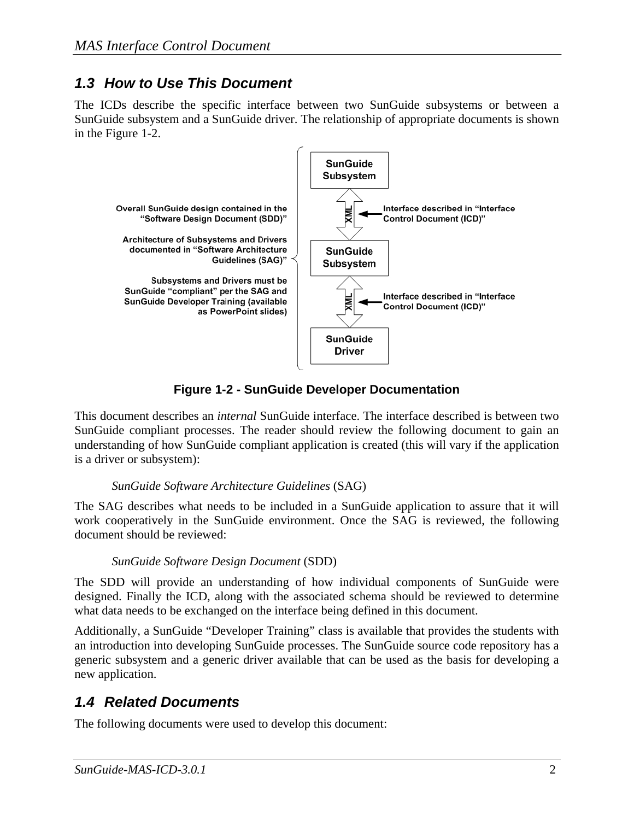### *1.3 How to Use This Document*

The ICDs describe the specific interface between two SunGuide subsystems or between a SunGuide subsystem and a SunGuide driver. The relationship of appropriate documents is shown in the Figure 1-2.



**Figure 1-2 - SunGuide Developer Documentation** 

This document describes an *internal* SunGuide interface. The interface described is between two SunGuide compliant processes. The reader should review the following document to gain an understanding of how SunGuide compliant application is created (this will vary if the application is a driver or subsystem):

#### *SunGuide Software Architecture Guidelines* (SAG)

The SAG describes what needs to be included in a SunGuide application to assure that it will work cooperatively in the SunGuide environment. Once the SAG is reviewed, the following document should be reviewed:

#### *SunGuide Software Design Document* (SDD)

The SDD will provide an understanding of how individual components of SunGuide were designed. Finally the ICD, along with the associated schema should be reviewed to determine what data needs to be exchanged on the interface being defined in this document.

Additionally, a SunGuide "Developer Training" class is available that provides the students with an introduction into developing SunGuide processes. The SunGuide source code repository has a generic subsystem and a generic driver available that can be used as the basis for developing a new application.

### *1.4 Related Documents*

The following documents were used to develop this document: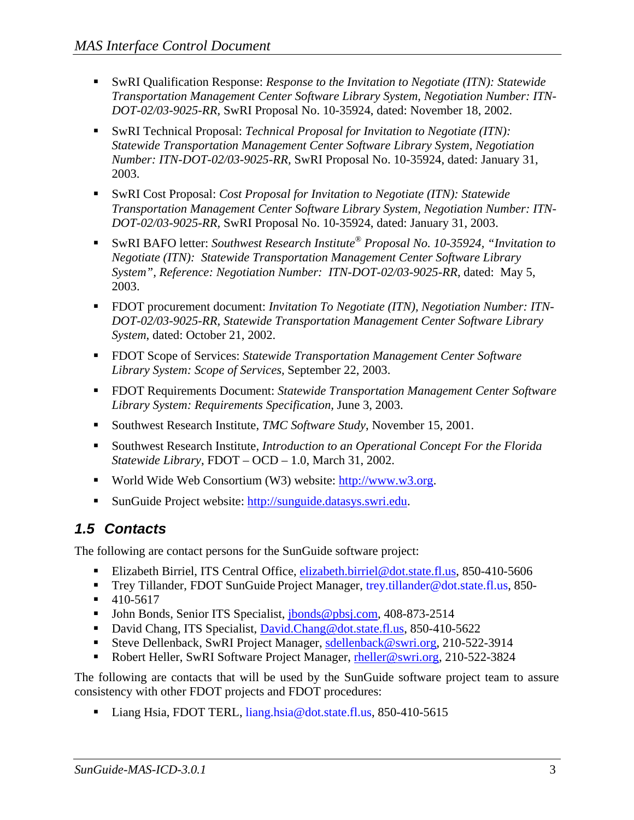- SwRI Qualification Response: *Response to the Invitation to Negotiate (ITN): Statewide Transportation Management Center Software Library System, Negotiation Number: ITN-DOT-02/03-9025-RR,* SwRI Proposal No. 10-35924, dated: November 18, 2002.
- SwRI Technical Proposal: *Technical Proposal for Invitation to Negotiate (ITN)*: *Statewide Transportation Management Center Software Library System, Negotiation Number: ITN-DOT-02/03-9025-RR,* SwRI Proposal No. 10-35924, dated: January 31, 2003.
- SwRI Cost Proposal: *Cost Proposal for Invitation to Negotiate (ITN): Statewide Transportation Management Center Software Library System, Negotiation Number: ITN-DOT-02/03-9025-RR,* SwRI Proposal No. 10-35924, dated: January 31, 2003.
- SwRI BAFO letter: *Southwest Research Institute® Proposal No. 10-35924, "Invitation to Negotiate (ITN): Statewide Transportation Management Center Software Library System", Reference: Negotiation Number: ITN-DOT-02/03-9025-RR*, dated: May 5, 2003.
- FDOT procurement document: *Invitation To Negotiate (ITN), Negotiation Number: ITN DOT-02/03-9025-RR, Statewide Transportation Management Center Software Library System*, dated: October 21, 2002.
- FDOT Scope of Services: *Statewide Transportation Management Center Software Library System: Scope of Services,* September 22, 2003.
- FDOT Requirements Document: *Statewide Transportation Management Center Software Library System: Requirements Specification,* June 3, 2003.
- Southwest Research Institute, *TMC Software Study*, November 15, 2001.
- Southwest Research Institute, *Introduction to an Operational Concept For the Florida Statewide Library*, FDOT – OCD – 1.0, March 31, 2002.
- World Wide Web Consortium (W3) website: http://www.w3.org.
- SunGuide Project website: http://sunguide.datasys.swri.edu.

#### *1.5 Contacts*

The following are contact persons for the SunGuide software project:

- Elizabeth Birriel, ITS Central Office, elizabeth.birriel@dot.state.fl.us, 850-410-5606
- Trey Tillander, FDOT SunGuide Project Manager, trey.tillander@dot.state.fl.us, 850-
- $-410-5617$
- **John Bonds, Senior ITS Specialist, jbonds@pbsj.com, 408-873-2514**
- David Chang, ITS Specialist, David.Chang@dot.state.fl.us, 850-410-5622
- Steve Dellenback, SwRI Project Manager, sdellenback@swri.org, 210-522-3914
- Robert Heller, SwRI Software Project Manager, rheller@swri.org, 210-522-3824

The following are contacts that will be used by the SunGuide software project team to assure consistency with other FDOT projects and FDOT procedures:

Liang Hsia, FDOT TERL, liang.hsia@dot.state.fl.us, 850-410-5615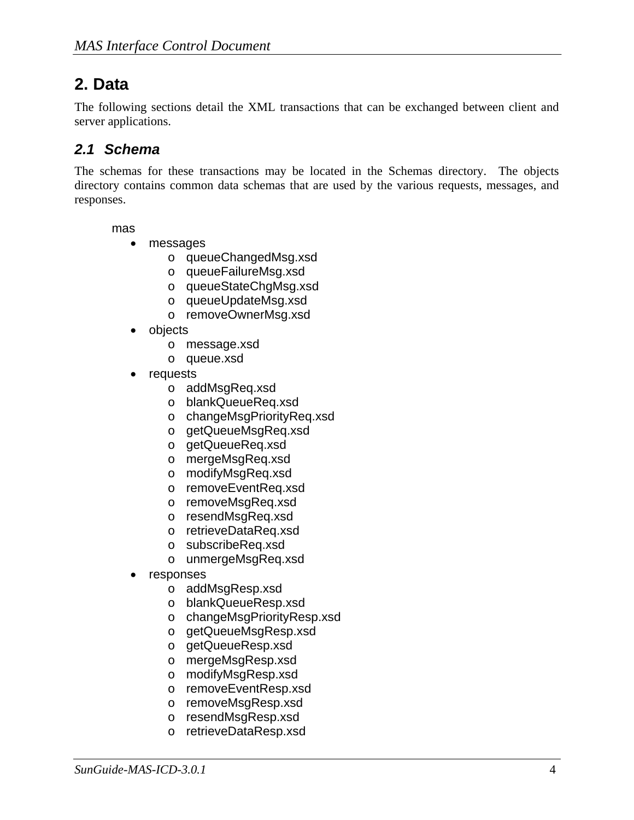## **2. Data**

The following sections detail the XML transactions that can be exchanged between client and server applications.

### *2.1 Schema*

The schemas for these transactions may be located in the Schemas directory. The objects directory contains common data schemas that are used by the various requests, messages, and responses.

mas

- messages
	- o queueChangedMsg.xsd
	- o queueFailureMsg.xsd
	- o queueStateChgMsg.xsd
	- o queueUpdateMsg.xsd
	- o removeOwnerMsg.xsd
- objects
	- o message.xsd
	- o queue.xsd
- requests
	- o addMsgReq.xsd
	- o blankQueueReq.xsd
	- o changeMsgPriorityReq.xsd
	- o getQueueMsgReq.xsd
	- o getQueueReq.xsd
	- o mergeMsgReq.xsd
	- o modifyMsgReq.xsd
	- o removeEventReq.xsd
	- o removeMsgReq.xsd
	- o resendMsgReq.xsd
	- o retrieveDataReq.xsd
	- o subscribeReq.xsd
	- o unmergeMsgReq.xsd
- **responses** 
	- o addMsgResp.xsd
	- o blankQueueResp.xsd
	- o changeMsgPriorityResp.xsd
	- o getQueueMsgResp.xsd
	- o getQueueResp.xsd
	- o mergeMsgResp.xsd
	- o modifyMsgResp.xsd
	- o removeEventResp.xsd
	- o removeMsgResp.xsd
	- o resendMsgResp.xsd
	- o retrieveDataResp.xsd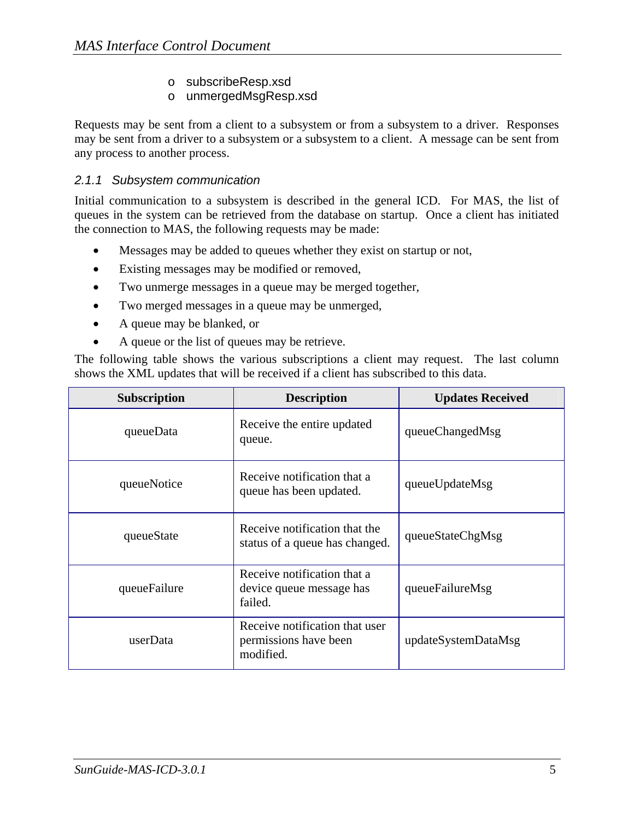o subscribeResp.xsd

#### o unmergedMsgResp.xsd

Requests may be sent from a client to a subsystem or from a subsystem to a driver. Responses may be sent from a driver to a subsystem or a subsystem to a client. A message can be sent from any process to another process.

#### *2.1.1 Subsystem communication*

Initial communication to a subsystem is described in the general ICD. For MAS, the list of queues in the system can be retrieved from the database on startup. Once a client has initiated the connection to MAS, the following requests may be made:

- Messages may be added to queues whether they exist on startup or not,
- Existing messages may be modified or removed,
- Two unmerge messages in a queue may be merged together,
- Two merged messages in a queue may be unmerged,
- A queue may be blanked, or
- A queue or the list of queues may be retrieve.

The following table shows the various subscriptions a client may request. The last column shows the XML updates that will be received if a client has subscribed to this data.

| <b>Subscription</b> | <b>Description</b>                                                   | <b>Updates Received</b> |
|---------------------|----------------------------------------------------------------------|-------------------------|
| queueData           | Receive the entire updated<br>queue.                                 | queueChangedMsg         |
| queueNotice         | Receive notification that a<br>queue has been updated.               | queueUpdateMsg          |
| queueState          | Receive notification that the<br>status of a queue has changed.      | queueStateChgMsg        |
| queueFailure        | Receive notification that a<br>device queue message has<br>failed.   | queueFailureMsg         |
| userData            | Receive notification that user<br>permissions have been<br>modified. | updateSystemDataMsg     |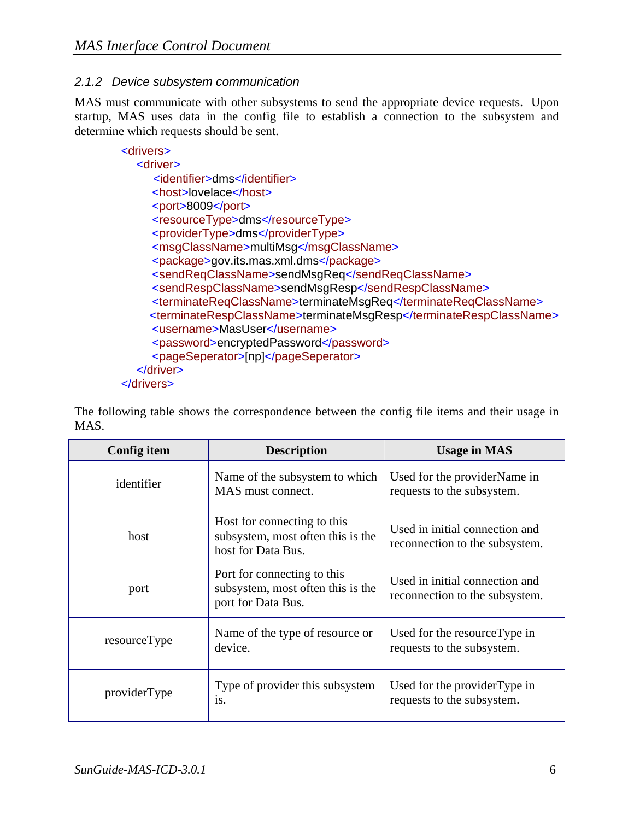#### *2.1.2 Device subsystem communication*

MAS must communicate with other subsystems to send the appropriate device requests. Upon startup, MAS uses data in the config file to establish a connection to the subsystem and determine which requests should be sent.

| <drivers></drivers>                                               |
|-------------------------------------------------------------------|
| <driver></driver>                                                 |
| <identifier>dms</identifier>                                      |
| <host>lovelace</host>                                             |
| <port>8009</port>                                                 |
| <resourcetype>dms</resourcetype>                                  |
| <providertype>dms</providertype>                                  |
| <msgclassname>multiMsg</msgclassname>                             |
| <package>gov.its.mas.xml.dms</package>                            |
| <sendreqclassname>sendMsqReq</sendreqclassname>                   |
| <sendrespclassname>sendMsgResp</sendrespclassname>                |
| <terminatereqclassname>terminateMsqReq</terminatereqclassname>    |
| <terminaterespclassname>terminateMsgResp</terminaterespclassname> |
| <username>MasUser</username>                                      |
| <password>encryptedPassword</password>                            |
| <pageseperator>[np]</pageseperator>                               |
| $\alpha$ driver                                                   |
| $\alpha$ drivers                                                  |

The following table shows the correspondence between the config file items and their usage in MAS.

| Config item  | <b>Description</b>                                                                     | <b>Usage in MAS</b>                                              |
|--------------|----------------------------------------------------------------------------------------|------------------------------------------------------------------|
| identifier   | Name of the subsystem to which<br>MAS must connect.                                    | Used for the providerName in<br>requests to the subsystem.       |
| host         | Host for connecting to this<br>subsystem, most often this is the<br>host for Data Bus. | Used in initial connection and<br>reconnection to the subsystem. |
| port         | Port for connecting to this<br>subsystem, most often this is the<br>port for Data Bus. | Used in initial connection and<br>reconnection to the subsystem. |
| resourceType | Name of the type of resource or<br>device.                                             | Used for the resource Type in<br>requests to the subsystem.      |
| providerType | Type of provider this subsystem<br>is.                                                 | Used for the provider Type in<br>requests to the subsystem.      |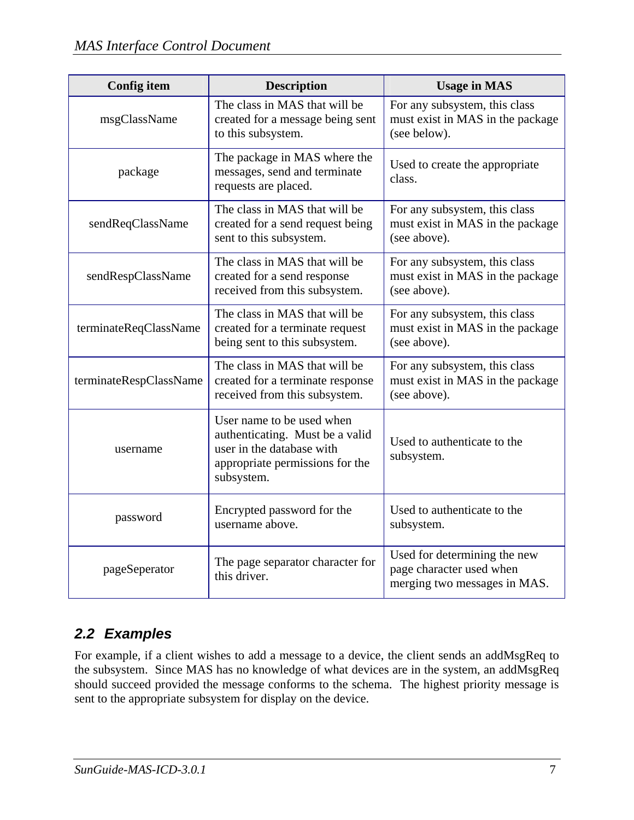| <b>Config item</b>     | <b>Description</b>                                                                                                                         | <b>Usage in MAS</b>                                                                      |
|------------------------|--------------------------------------------------------------------------------------------------------------------------------------------|------------------------------------------------------------------------------------------|
| msgClassName           | The class in MAS that will be<br>created for a message being sent<br>to this subsystem.                                                    | For any subsystem, this class<br>must exist in MAS in the package<br>(see below).        |
| package                | The package in MAS where the<br>messages, send and terminate<br>requests are placed.                                                       | Used to create the appropriate<br>class.                                                 |
| sendReqClassName       | The class in MAS that will be<br>created for a send request being<br>sent to this subsystem.                                               | For any subsystem, this class<br>must exist in MAS in the package<br>(see above).        |
| sendRespClassName      | The class in MAS that will be<br>created for a send response<br>received from this subsystem.                                              | For any subsystem, this class<br>must exist in MAS in the package<br>(see above).        |
| terminateReqClassName  | The class in MAS that will be<br>created for a terminate request<br>being sent to this subsystem.                                          | For any subsystem, this class<br>must exist in MAS in the package<br>(see above).        |
| terminateRespClassName | The class in MAS that will be<br>created for a terminate response<br>received from this subsystem.                                         | For any subsystem, this class<br>must exist in MAS in the package<br>(see above).        |
| username               | User name to be used when<br>authenticating. Must be a valid<br>user in the database with<br>appropriate permissions for the<br>subsystem. | Used to authenticate to the<br>subsystem.                                                |
| password               | Encrypted password for the<br>username above.                                                                                              | Used to authenticate to the<br>subsystem.                                                |
| pageSeperator          | The page separator character for<br>this driver.                                                                                           | Used for determining the new<br>page character used when<br>merging two messages in MAS. |

### *2.2 Examples*

For example, if a client wishes to add a message to a device, the client sends an addMsgReq to the subsystem. Since MAS has no knowledge of what devices are in the system, an addMsgReq should succeed provided the message conforms to the schema. The highest priority message is sent to the appropriate subsystem for display on the device.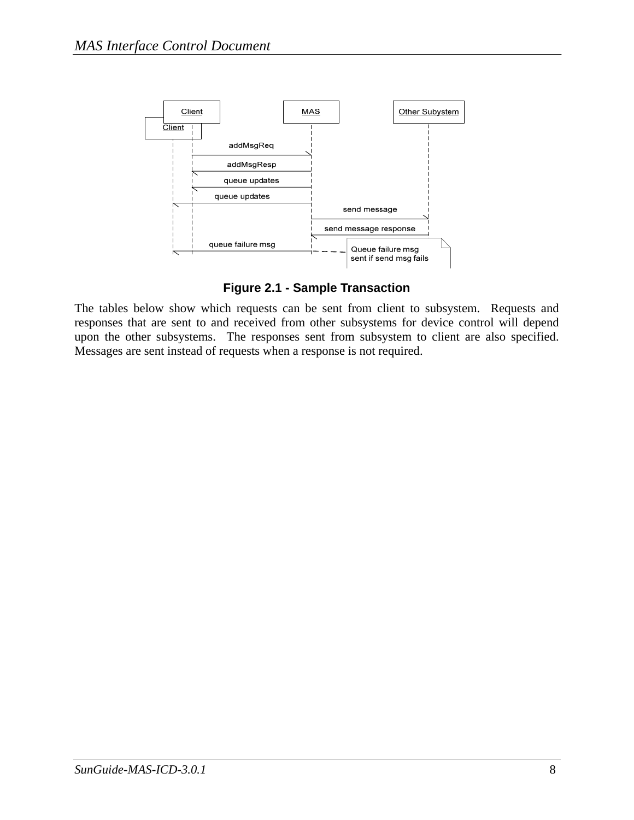

**Figure 2.1 - Sample Transaction** 

The tables below show which requests can be sent from client to subsystem. Requests and responses that are sent to and received from other subsystems for device control will depend upon the other subsystems. The responses sent from subsystem to client are also specified. Messages are sent instead of requests when a response is not required.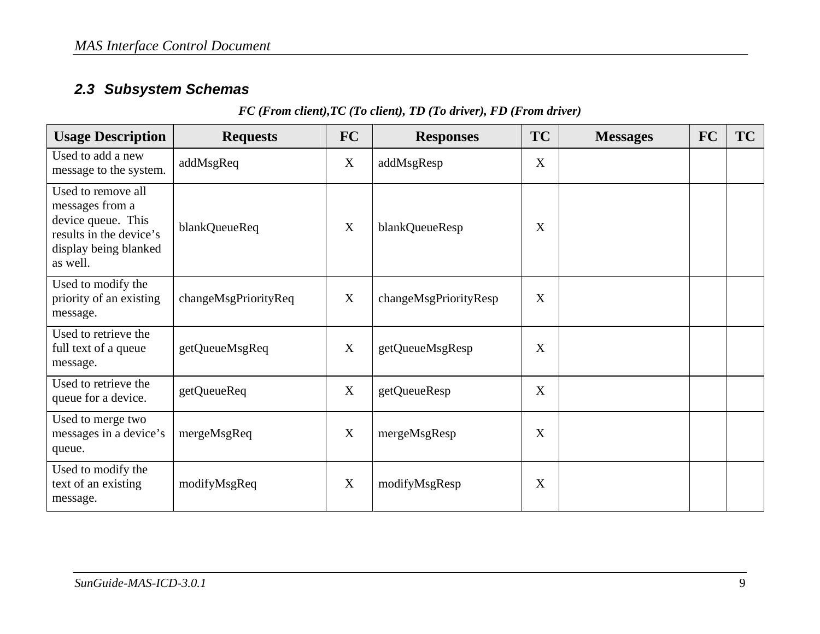### *2.3 Subsystem Schemas*

#### *FC (From client),TC (To client), TD (To driver), FD (From driver)*

| <b>Usage Description</b>                                                                                                    | <b>Requests</b>      | <b>FC</b> | <b>Responses</b>      | <b>TC</b> | <b>Messages</b> | <b>FC</b> | <b>TC</b> |
|-----------------------------------------------------------------------------------------------------------------------------|----------------------|-----------|-----------------------|-----------|-----------------|-----------|-----------|
| Used to add a new<br>message to the system.                                                                                 | addMsgReq            | X         | addMsgResp            | X         |                 |           |           |
| Used to remove all<br>messages from a<br>device queue. This<br>results in the device's<br>display being blanked<br>as well. | blankQueueReq        | X         | blankQueueResp        | X         |                 |           |           |
| Used to modify the<br>priority of an existing<br>message.                                                                   | changeMsgPriorityReq | X         | changeMsgPriorityResp | X         |                 |           |           |
| Used to retrieve the<br>full text of a queue<br>message.                                                                    | getQueueMsgReq       | X         | getQueueMsgResp       | X         |                 |           |           |
| Used to retrieve the<br>queue for a device.                                                                                 | getQueueReq          | X         | getQueueResp          | X         |                 |           |           |
| Used to merge two<br>messages in a device's<br>queue.                                                                       | mergeMsgReq          | X         | mergeMsgResp          | X         |                 |           |           |
| Used to modify the<br>text of an existing<br>message.                                                                       | modifyMsgReq         | X         | modifyMsgResp         | X         |                 |           |           |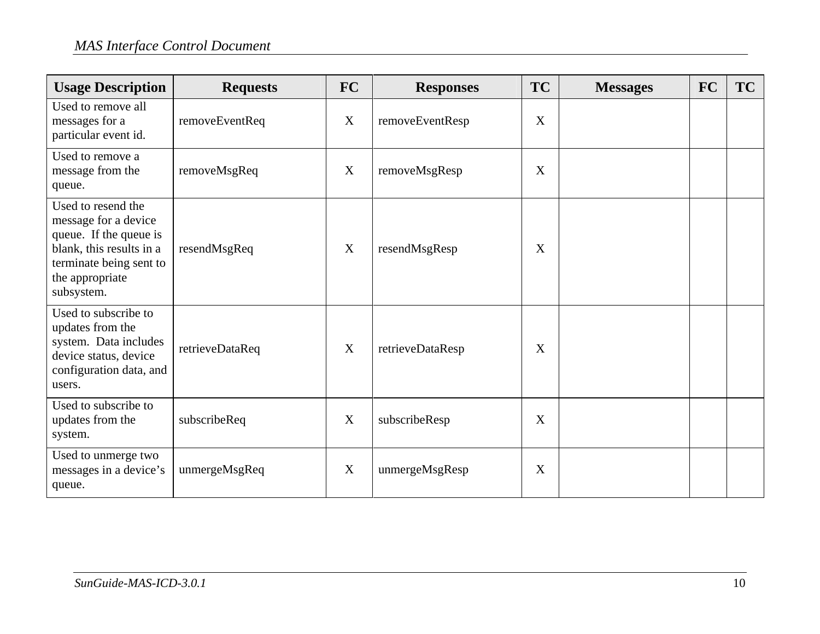### *MAS Interface Control Document*

| <b>Usage Description</b>                                                                                                                                     | <b>Requests</b> | <b>FC</b> | <b>Responses</b> | <b>TC</b> | <b>Messages</b> | <b>FC</b> | TC |
|--------------------------------------------------------------------------------------------------------------------------------------------------------------|-----------------|-----------|------------------|-----------|-----------------|-----------|----|
| Used to remove all<br>messages for a<br>particular event id.                                                                                                 | removeEventReq  | X         | removeEventResp  | X         |                 |           |    |
| Used to remove a<br>message from the<br>queue.                                                                                                               | removeMsgReq    | X         | removeMsgResp    | X         |                 |           |    |
| Used to resend the<br>message for a device<br>queue. If the queue is<br>blank, this results in a<br>terminate being sent to<br>the appropriate<br>subsystem. | resendMsgReq    | X         | resendMsgResp    | X         |                 |           |    |
| Used to subscribe to<br>updates from the<br>system. Data includes<br>device status, device<br>configuration data, and<br>users.                              | retrieveDataReq | X         | retrieveDataResp | X         |                 |           |    |
| Used to subscribe to<br>updates from the<br>system.                                                                                                          | subscribeReq    | X         | subscribeResp    | X         |                 |           |    |
| Used to unmerge two<br>messages in a device's<br>queue.                                                                                                      | unmergeMsgReq   | X         | unmergeMsgResp   | X         |                 |           |    |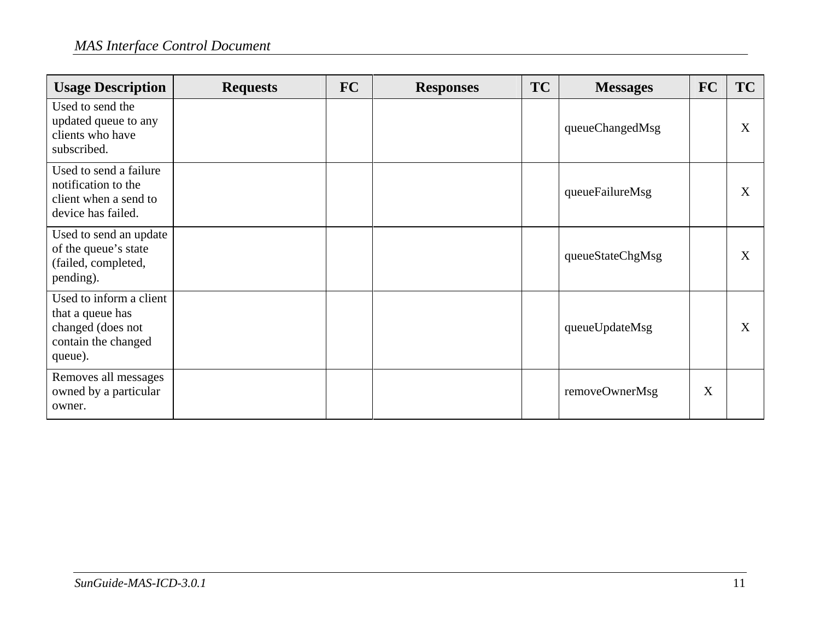### *MAS Interface Control Document*

| <b>Usage Description</b>                                                                           | <b>Requests</b> | <b>FC</b> | <b>Responses</b> | <b>TC</b> | <b>Messages</b>  | <b>FC</b> | <b>TC</b> |
|----------------------------------------------------------------------------------------------------|-----------------|-----------|------------------|-----------|------------------|-----------|-----------|
| Used to send the<br>updated queue to any<br>clients who have<br>subscribed.                        |                 |           |                  |           | queueChangedMsg  |           | X         |
| Used to send a failure<br>notification to the<br>client when a send to<br>device has failed.       |                 |           |                  |           | queueFailureMsg  |           | X         |
| Used to send an update<br>of the queue's state<br>(failed, completed,<br>pending).                 |                 |           |                  |           | queueStateChgMsg |           | X         |
| Used to inform a client<br>that a queue has<br>changed (does not<br>contain the changed<br>queue). |                 |           |                  |           | queueUpdateMsg   |           | X         |
| Removes all messages<br>owned by a particular<br>owner.                                            |                 |           |                  |           | removeOwnerMsg   | X         |           |